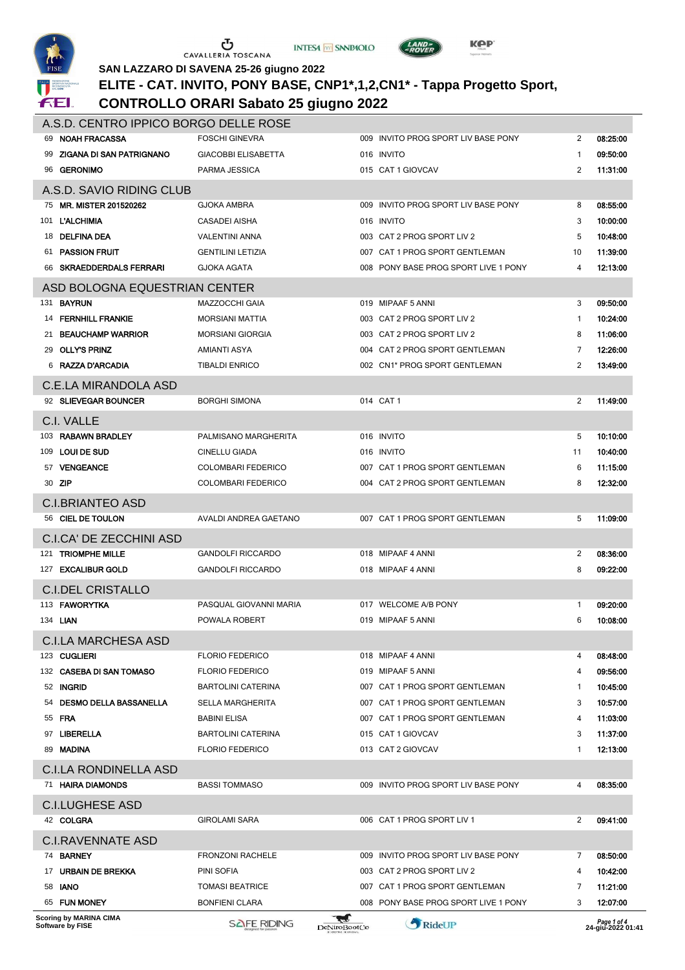





LAND<sub>7</sub>

### **SAN LAZZARO DI SAVENA 25-26 giugno 2022 ELITE - CAT. INVITO, PONY BASE, CNP1\*,1,2,CN1\* - Tappa Progetto Sport,**

### **CONTROLLO ORARI Sabato 25 giugno 2022**

|                          | A.S.D. CENTRO IPPICO BORGO DELLE ROSE                |                            |                          |                                      |              |                                |  |  |
|--------------------------|------------------------------------------------------|----------------------------|--------------------------|--------------------------------------|--------------|--------------------------------|--|--|
|                          | 69 NOAH FRACASSA                                     | <b>FOSCHI GINEVRA</b>      |                          | 009 INVITO PROG SPORT LIV BASE PONY  | 2            | 08.25.00                       |  |  |
|                          | <b>ZIGANA DI SAN PATRIGNANO</b>                      | <b>GIACOBBI ELISABETTA</b> |                          | 016 INVITO                           | -1           | 09.50.00                       |  |  |
|                          | 96 GERONIMO                                          | PARMA JESSICA              |                          | 015 CAT 1 GIOVCAV                    | 2            | 11.31.00                       |  |  |
| A.S.D. SAVIO RIDING CLUB |                                                      |                            |                          |                                      |              |                                |  |  |
|                          | 75 MR. MISTER 201520262                              | <b>GJOKA AMBRA</b>         |                          | 009 INVITO PROG SPORT LIV BASE PONY  | 8            | 08.55.00                       |  |  |
| 101                      | <b>L'ALCHIMIA</b>                                    | CASADEI AISHA              |                          | 016 INVITO                           | 3            | 10:00:00                       |  |  |
|                          | 18 DELFINA DEA                                       | <b>VALENTINI ANNA</b>      |                          | 003 CAT 2 PROG SPORT LIV 2           | 5            | 10:48:00                       |  |  |
| 61.                      | <b>PASSION FRUIT</b>                                 | <b>GENTILINI LETIZIA</b>   |                          | 007 CAT 1 PROG SPORT GENTLEMAN       | 10           | 11:39:00                       |  |  |
|                          | 66 SKRAEDDERDALS FERRARI                             | GJOKA AGATA                |                          | 008 PONY BASE PROG SPORT LIVE 1 PONY | 4            | 12:13:00                       |  |  |
|                          | ASD BOLOGNA EQUESTRIAN CENTER                        |                            |                          |                                      |              |                                |  |  |
| 131                      | <b>BAYRUN</b>                                        | <b>MAZZOCCHI GAIA</b>      |                          | 019 MIPAAF 5 ANNI                    | 3            | 09:50:00                       |  |  |
|                          | <b>14 FERNHILL FRANKIE</b>                           | <b>MORSIANI MATTIA</b>     |                          | 003 CAT 2 PROG SPORT LIV 2           | $\mathbf{1}$ | 10:24:00                       |  |  |
| 21                       | <b>BEAUCHAMP WARRIOR</b>                             | <b>MORSIANI GIORGIA</b>    |                          | 003 CAT 2 PROG SPORT LIV 2           | 8            | 11:06:00                       |  |  |
|                          | 29 OLLY'S PRINZ                                      | AMIANTI ASYA               |                          | 004 CAT 2 PROG SPORT GENTLEMAN       | 7            | 12:26:00                       |  |  |
|                          | 6 RAZZA D'ARCADIA                                    | <b>TIBALDI ENRICO</b>      |                          | 002 CN1* PROG SPORT GENTLEMAN        | 2            | 13:49:00                       |  |  |
|                          | <b>C.E.LA MIRANDOLA ASD</b>                          |                            |                          |                                      |              |                                |  |  |
|                          | 92 SLIEVEGAR BOUNCER                                 | <b>BORGHI SIMONA</b>       |                          | 014 CAT 1                            | 2            | 11:49:00                       |  |  |
|                          | C.I. VALLE                                           |                            |                          |                                      |              |                                |  |  |
| 103                      | <b>RABAWN BRADLEY</b>                                | PALMISANO MARGHERITA       |                          | 016 INVITO                           | 5            | 10.10.00                       |  |  |
|                          | 109 LOUI DE SUD                                      | CINELLU GIADA              |                          | 016 INVITO                           | 11           | 10.40.00                       |  |  |
|                          | 57 VENGEANCE                                         | <b>COLOMBARI FEDERICO</b>  |                          | 007 CAT 1 PROG SPORT GENTLEMAN       | 6            | 11.15.00                       |  |  |
|                          | 30 <b>ZIP</b>                                        | <b>COLOMBARI FEDERICO</b>  |                          | 004 CAT 2 PROG SPORT GENTLEMAN       | 8            | 12.32.00                       |  |  |
|                          | <b>C.I.BRIANTEO ASD</b>                              |                            |                          |                                      |              |                                |  |  |
|                          | 56 CIEL DE TOULON                                    | AVALDI ANDREA GAETANO      |                          | 007 CAT 1 PROG SPORT GENTLEMAN       | 5            | 11:09:00                       |  |  |
|                          |                                                      |                            |                          |                                      |              |                                |  |  |
|                          | <b>C.I.CA' DE ZECCHINI ASD</b><br>121 TRIOMPHE MILLE | <b>GANDOLFI RICCARDO</b>   |                          | 018 MIPAAF 4 ANNI                    | 2            | 08:36:00                       |  |  |
|                          | 127 EXCALIBUR GOLD                                   | <b>GANDOLFI RICCARDO</b>   |                          | 018 MIPAAF 4 ANNI                    | 8            | 09:22:00                       |  |  |
|                          |                                                      |                            |                          |                                      |              |                                |  |  |
|                          | <b>C.I.DEL CRISTALLO</b>                             |                            |                          |                                      |              |                                |  |  |
|                          | 113 FAWORYTKA                                        | PASQUAL GIOVANNI MARIA     |                          | 017 WELCOME A/B PONY                 | -1           | 09:20:00                       |  |  |
|                          | 134 <b>LIAN</b>                                      | POWALA ROBERT              |                          | 019 MIPAAF 5 ANNI                    | 6            | 10:08:00                       |  |  |
|                          | <b>C.I.LA MARCHESA ASD</b>                           |                            |                          |                                      |              |                                |  |  |
|                          | 123 CUGLIERI                                         | <b>FLORIO FEDERICO</b>     |                          | 018 MIPAAF 4 ANNI                    | 4            | 08:48:00                       |  |  |
|                          | 132 CASEBA DI SAN TOMASO                             | <b>FLORIO FEDERICO</b>     |                          | 019 MIPAAF 5 ANNI                    | 4            | 09:56:00                       |  |  |
|                          | 52 INGRID                                            | <b>BARTOLINI CATERINA</b>  |                          | 007 CAT 1 PROG SPORT GENTLEMAN       | -1           | 10:45:00                       |  |  |
| 54                       | <b>DESMO DELLA BASSANELLA</b>                        | <b>SELLA MARGHERITA</b>    |                          | 007 CAT 1 PROG SPORT GENTLEMAN       | 3            | 10:57:00                       |  |  |
|                          | 55 <b>FRA</b>                                        | BABINI ELISA               |                          | 007 CAT 1 PROG SPORT GENTLEMAN       | 4            | 11:03:00                       |  |  |
| 97                       | LIBERELLA                                            | <b>BARTOLINI CATERINA</b>  |                          | 015 CAT 1 GIOVCAV                    | 3            | 11.37.00                       |  |  |
|                          | 89 MADINA                                            | <b>FLORIO FEDERICO</b>     |                          | 013 CAT 2 GIOVCAV                    | -1           | 12.13.00                       |  |  |
|                          | <b>C.I.LA RONDINELLA ASD</b>                         |                            |                          |                                      |              |                                |  |  |
|                          | 71 HAIRA DIAMONDS                                    | <b>BASSI TOMMASO</b>       |                          | 009 INVITO PROG SPORT LIV BASE PONY  | 4            | 08.35.00                       |  |  |
|                          | <b>C.I.LUGHESE ASD</b>                               |                            |                          |                                      |              |                                |  |  |
|                          | 42 COLGRA                                            | GIROLAMI SARA              |                          | 006 CAT 1 PROG SPORT LIV 1           | 2            | 09.41.00                       |  |  |
|                          | <b>C.I.RAVENNATE ASD</b>                             |                            |                          |                                      |              |                                |  |  |
|                          | 74 BARNEY                                            | <b>FRONZONI RACHELE</b>    |                          | 009 INVITO PROG SPORT LIV BASE PONY  | 7            | 08:50:00                       |  |  |
| 17                       | URBAIN DE BREKKA                                     | PINI SOFIA                 |                          | 003 CAT 2 PROG SPORT LIV 2           | 4            | 10:42:00                       |  |  |
|                          | 58 <b>IANO</b>                                       | <b>TOMASI BEATRICE</b>     |                          | 007 CAT 1 PROG SPORT GENTLEMAN       | 7            | 11:21:00                       |  |  |
|                          | 65 FUN MONEY                                         | <b>BONFIENI CLARA</b>      |                          | 008 PONY BASE PROG SPORT LIVE 1 PONY | 3            | 12:07:00                       |  |  |
|                          | Scoring by MARINA CIMA<br>Software by FISE           | <b>SAFE RIDING</b>         | W<br><b>DeNiroBootCo</b> | RideUP                               |              | Page 1 of 4<br>:24-giu-2022 01 |  |  |
|                          |                                                      |                            |                          |                                      |              |                                |  |  |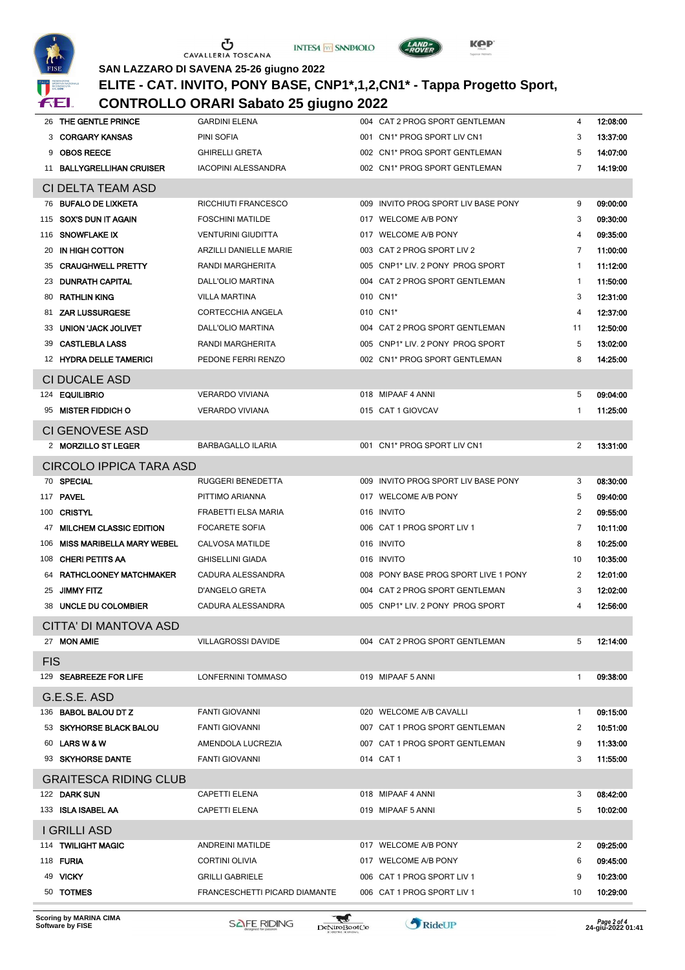





 $\left(\frac{LAND}{-ROVER}\right)$ 

#### **SAN LAZZARO DI SAVENA 25-26 giugno 2022 ELITE - CAT. INVITO, PONY BASE, CNP1\*,1,2,CN1\* - Tappa Progetto Sport,**

| v<br>ffEl.          |                                  | <b>CONTROLLO ORARI Sabato 25 giugno 2022</b> |  |                                      |                         |          |  |
|---------------------|----------------------------------|----------------------------------------------|--|--------------------------------------|-------------------------|----------|--|
|                     | 26 THE GENTLE PRINCE             | <b>GARDINI ELENA</b>                         |  | 004 CAT 2 PROG SPORT GENTLEMAN       | 4                       | 12:08:00 |  |
| 3                   | <b>CORGARY KANSAS</b>            | PINI SOFIA                                   |  | 001 CN1* PROG SPORT LIV CN1          | 3                       | 13.37.00 |  |
| 9                   | <b>OBOS REECE</b>                | <b>GHIRELLI GRETA</b>                        |  | 002 CN1* PROG SPORT GENTLEMAN        | 5                       | 14.07.00 |  |
| 11                  | <b>BALLYGRELLIHAN CRUISER</b>    | <b>IACOPINI ALESSANDRA</b>                   |  | 002 CN1* PROG SPORT GENTLEMAN        | 7                       | 14.19.00 |  |
|                     | CI DELTA TEAM ASD                |                                              |  |                                      |                         |          |  |
| 76                  | <b>BUFALO DE LIXKETA</b>         | RICCHIUTI FRANCESCO                          |  | 009 INVITO PROG SPORT LIV BASE PONY  | 9                       | 09:00:00 |  |
| 115                 | SOX'S DUN IT AGAIN               | <b>FOSCHINI MATILDE</b>                      |  | 017 WELCOME A/B PONY                 | 3                       | 09:30:00 |  |
|                     | 116 SNOWFLAKE IX                 | <b>VENTURINI GIUDITTA</b>                    |  | 017 WELCOME A/B PONY                 | 4                       | 09:35:00 |  |
| 20                  | IN HIGH COTTON                   | ARZILLI DANIELLE MARIE                       |  | 003 CAT 2 PROG SPORT LIV 2           | 7                       | 11:00:00 |  |
| 35                  | <b>CRAUGHWELL PRETTY</b>         | RANDI MARGHERITA                             |  | 005 CNP1* LIV. 2 PONY PROG SPORT     | $\mathbf{1}$            | 11:12:00 |  |
|                     | 23 DUNRATH CAPITAL               | DALL'OLIO MARTINA                            |  | 004 CAT 2 PROG SPORT GENTLEMAN       | $\mathbf{1}$            | 11:50:00 |  |
| 80                  | <b>RATHLIN KING</b>              | <b>VILLA MARTINA</b>                         |  | 010 CN1*                             | 3                       | 12:31:00 |  |
| 81                  | <b>ZAR LUSSURGESE</b>            | CORTECCHIA ANGELA                            |  | 010 CN1*                             | $\overline{\mathbf{4}}$ | 12:37:00 |  |
| 33                  | <b>UNION 'JACK JOLIVET</b>       | <b>DALL'OLIO MARTINA</b>                     |  | 004 CAT 2 PROG SPORT GENTLEMAN       | 11                      | 12:50:00 |  |
| 39                  | <b>CASTLEBLA LASS</b>            | RANDI MARGHERITA                             |  | 005 CNP1* LIV. 2 PONY PROG SPORT     | 5                       | 13:02:00 |  |
|                     | 12 HYDRA DELLE TAMERICI          | PEDONE FERRI RENZO                           |  | 002 CN1* PROG SPORT GENTLEMAN        | 8                       | 14.25.00 |  |
|                     | <b>CI DUCALE ASD</b>             |                                              |  |                                      |                         |          |  |
| 124                 | <b>EQUILIBRIO</b>                | <b>VERARDO VIVIANA</b>                       |  | 018 MIPAAF 4 ANNI                    | 5                       | 09:04:00 |  |
| 95                  | <b>MISTER FIDDICH O</b>          | <b>VERARDO VIVIANA</b>                       |  | 015 CAT 1 GIOVCAV                    | 1                       | 11.25.00 |  |
|                     | CI GENOVESE ASD                  |                                              |  |                                      |                         |          |  |
|                     | 2 MORZILLO ST LEGER              | <b>BARBAGALLO ILARIA</b>                     |  | 001 CN1* PROG SPORT LIV CN1          | 2                       | 13.31.00 |  |
|                     | <b>CIRCOLO IPPICA TARA ASD</b>   |                                              |  |                                      |                         |          |  |
|                     | 70 SPECIAL                       | RUGGERI BENEDETTA                            |  | 009 INVITO PROG SPORT LIV BASE PONY  | 3                       | 08.30.00 |  |
|                     | <b>117 PAVEL</b>                 | PITTIMO ARIANNA                              |  | 017 WELCOME A/B PONY                 | 5                       | 09:40:00 |  |
|                     | 100 CRISTYL                      | FRABETTI ELSA MARIA                          |  | 016 INVITO                           | 2                       | 09:55:00 |  |
| 47                  | <b>MILCHEM CLASSIC EDITION</b>   | <b>FOCARETE SOFIA</b>                        |  | 006 CAT 1 PROG SPORT LIV 1           | 7                       | 10:11:00 |  |
| 106                 | <b>MISS MARIBELLA MARY WEBEL</b> | CALVOSA MATILDE                              |  | 016 INVITO                           | 8                       | 10:25:00 |  |
|                     | 108 CHERI PETITS AA              | <b>GHISELLINI GIADA</b>                      |  | 016 INVITO                           | 10                      | 10:35:00 |  |
|                     | 64 RATHCLOONEY MATCHMAKER        | CADURA ALESSANDRA                            |  | 008 PONY BASE PROG SPORT LIVE 1 PONY | 2                       | 12:01:00 |  |
| 25                  | <b>JIMMY FITZ</b>                | D'ANGELO GRETA                               |  | 004 CAT 2 PROG SPORT GENTLEMAN       | 3                       | 12:02:00 |  |
|                     | 38 UNCLE DU COLOMBIER            | CADURA ALESSANDRA                            |  | 005 CNP1* LIV. 2 PONY PROG SPORT     | 4                       | 12:56:00 |  |
|                     | CITTA' DI MANTOVA ASD            |                                              |  |                                      |                         |          |  |
|                     | 27 MON AMIE                      | <b>VILLAGROSSI DAVIDE</b>                    |  | 004 CAT 2 PROG SPORT GENTLEMAN       | 5                       | 12:14:00 |  |
|                     |                                  |                                              |  |                                      |                         |          |  |
| FIS                 |                                  |                                              |  |                                      |                         |          |  |
|                     | 129 SEABREEZE FOR LIFE           | LONFERNINI TOMMASO                           |  | 019 MIPAAF 5 ANNI                    | $\mathbf{1}$            | 09.38.00 |  |
|                     | G.E.S.E. ASD                     |                                              |  |                                      |                         |          |  |
|                     | 136 BABOL BALOU DT Z             | <b>FANTI GIOVANNI</b>                        |  | 020 WELCOME A/B CAVALLI              | -1                      | 09.15.00 |  |
|                     | 53 SKYHORSE BLACK BALOU          | <b>FANTI GIOVANNI</b>                        |  | 007 CAT 1 PROG SPORT GENTLEMAN       | 2                       | 10.51.00 |  |
|                     | 60 LARS W & W                    | AMENDOLA LUCREZIA                            |  | 007 CAT 1 PROG SPORT GENTLEMAN       | 9                       | 11.33.00 |  |
|                     | 93 SKYHORSE DANTE                | <b>FANTI GIOVANNI</b>                        |  | 014 CAT 1                            | 3                       | 11.55.00 |  |
|                     | <b>GRAITESCA RIDING CLUB</b>     |                                              |  |                                      |                         |          |  |
|                     | 122 DARK SUN                     | CAPETTI ELENA                                |  | 018 MIPAAF 4 ANNI                    | 3                       | 08:42:00 |  |
|                     | 133 <b>ISLA ISABEL AA</b>        | CAPETTI ELENA                                |  | 019 MIPAAF 5 ANNI                    | 5                       | 10:02:00 |  |
| <b>I GRILLI ASD</b> |                                  |                                              |  |                                      |                         |          |  |
|                     | 114 TWILIGHT MAGIC               | ANDREINI MATILDE                             |  | 017 WELCOME A/B PONY                 | 2                       | 09:25:00 |  |
|                     | <b>118 FURIA</b>                 | <b>CORTINI OLIVIA</b>                        |  | 017 WELCOME A/B PONY                 | 6                       | 09:45:00 |  |
|                     | 49 VICKY                         | <b>GRILLI GABRIELE</b>                       |  | 006 CAT 1 PROG SPORT LIV 1           | 9                       | 10:23:00 |  |
|                     | 50 TOTMES                        | FRANCESCHETTI PICARD DIAMANTE                |  | 006 CAT 1 PROG SPORT LIV 1           | 10                      | 10:29:00 |  |
|                     |                                  |                                              |  |                                      |                         |          |  |

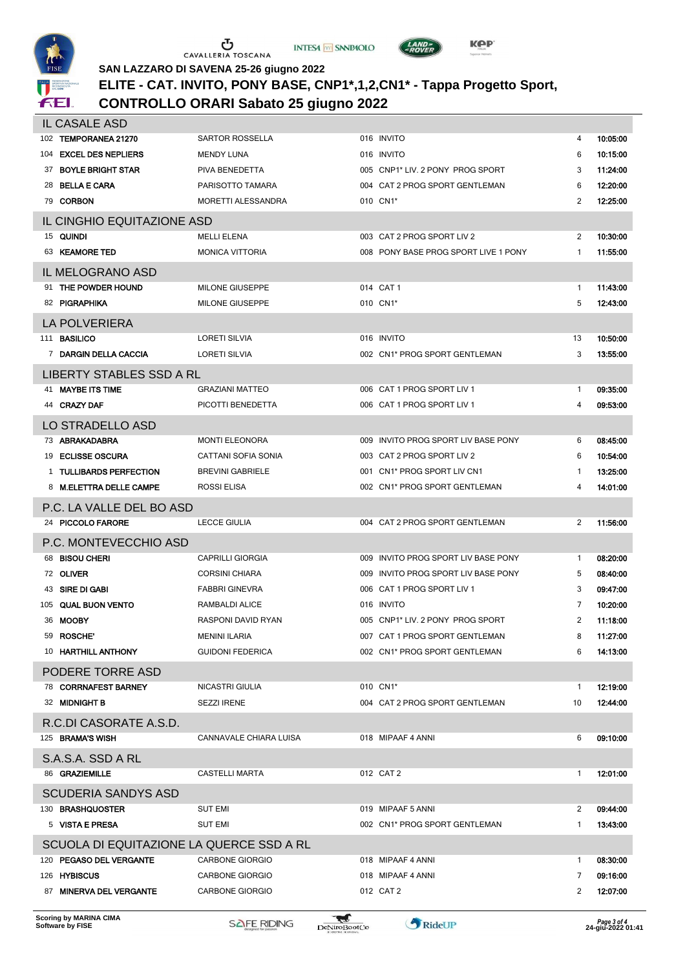





#### **SAN LAZZARO DI SAVENA 25-26 giugno 2022 ELITE - CAT. INVITO, PONY BASE, CNP1\*,1,2,CN1\* - Tappa Progetto Sport,**

# **CONTROLLO ORARI Sabato 25 giugno 2022**

|     | IL CASALE ASD                            |                            |     |                                      |                |          |
|-----|------------------------------------------|----------------------------|-----|--------------------------------------|----------------|----------|
| 102 | <b>TEMPORANEA 21270</b>                  | SARTOR ROSSELLA            |     | 016 INVITO                           | 4              | 10.05.00 |
| 104 | <b>EXCEL DES NEPLIERS</b>                | <b>MENDY LUNA</b>          |     | 016 INVITO                           | 6              | 10.15.00 |
| 37  | <b>BOYLE BRIGHT STAR</b>                 | PIVA BENEDETTA             |     | 005 CNP1* LIV. 2 PONY PROG SPORT     | 3              | 11.24.00 |
| 28  | <b>BELLA E CARA</b>                      | PARISOTTO TAMARA           |     | 004 CAT 2 PROG SPORT GENTLEMAN       | 6              | 12.20.00 |
|     | 79 CORBON                                | MORETTI ALESSANDRA         |     | 010 CN1*                             | 2              | 12:25:00 |
|     | IL CINGHIO EQUITAZIONE ASD               |                            |     |                                      |                |          |
|     | 15 QUINDI                                | <b>MELLI ELENA</b>         |     | 003 CAT 2 PROG SPORT LIV 2           | 2              | 10:30:00 |
|     | 63 KEAMORE TED                           | <b>MONICA VITTORIA</b>     |     | 008 PONY BASE PROG SPORT LIVE 1 PONY | 1              | 11:55:00 |
|     | IL MELOGRANO ASD                         |                            |     |                                      |                |          |
|     | 91 THE POWDER HOUND                      | MILONE GIUSEPPE            |     | 014 CAT 1                            | 1              | 11:43:00 |
|     | 82 PIGRAPHIKA                            | <b>MILONE GIUSEPPE</b>     |     | 010 CN1*                             | 5              | 12:43:00 |
|     | <b>LA POLVERIERA</b>                     |                            |     |                                      |                |          |
| 111 | <b>BASILICO</b>                          | <b>LORETI SILVIA</b>       |     | 016 INVITO                           | 13             | 10:50:00 |
|     | 7 DARGIN DELLA CACCIA                    | <b>LORETI SILVIA</b>       |     | 002 CN1* PROG SPORT GENTLEMAN        | 3              | 13:55:00 |
|     | <b>LIBERTY STABLES SSD A RL</b>          |                            |     |                                      |                |          |
|     | <b>MAYBE ITS TIME</b>                    | <b>GRAZIANI MATTEO</b>     |     | 006 CAT 1 PROG SPORT LIV 1           | 1              | 09:35:00 |
|     | 44 CRAZY DAF                             | PICOTTI BENEDETTA          |     | 006 CAT 1 PROG SPORT LIV 1           | 4              | 09:53:00 |
|     | LO STRADELLO ASD                         |                            |     |                                      |                |          |
|     | 73 ABRAKADABRA                           | <b>MONTI ELEONORA</b>      |     | 009 INVITO PROG SPORT LIV BASE PONY  | 6              | 08.45.00 |
| 19  | <b>ECLISSE OSCURA</b>                    | <b>CATTANI SOFIA SONIA</b> |     | 003 CAT 2 PROG SPORT LIV 2           | 6              | 10:54:00 |
| 1   | <b>TULLIBARDS PERFECTION</b>             | <b>BREVINI GABRIELE</b>    |     | 001 CN1* PROG SPORT LIV CN1          | 1              | 13.25.00 |
| 8   | <b>M.ELETTRA DELLE CAMPE</b>             | ROSSI ELISA                |     | 002 CN1* PROG SPORT GENTLEMAN        | 4              | 14.01.00 |
|     | P.C. LA VALLE DEL BO ASD                 |                            |     |                                      |                |          |
|     | 24 PICCOLO FARORE                        | <b>LECCE GIULIA</b>        |     | 004 CAT 2 PROG SPORT GENTLEMAN       | 2              | 11.56.00 |
|     | P.C. MONTEVECCHIO ASD                    |                            |     |                                      |                |          |
| 68  | <b>BISOU CHERI</b>                       | <b>CAPRILLI GIORGIA</b>    |     | 009 INVITO PROG SPORT LIV BASE PONY  | 1              | 08:20:00 |
|     | 72 OLIVER                                | <b>CORSINI CHIARA</b>      | 009 | INVITO PROG SPORT LIV BASE PONY      | 5              | 08:40:00 |
| 43  | SIRE DI GABI                             | <b>FABBRI GINEVRA</b>      |     | 006 CAT 1 PROG SPORT LIV 1           | 3              | 09:47:00 |
| 105 | <b>QUAL BUON VENTO</b>                   | RAMBALDI ALICE             |     | 016 INVITO                           | 7              | 10:20:00 |
|     | 36 MOOBY                                 | RASPONI DAVID RYAN         |     | 005 CNP1* LIV. 2 PONY PROG SPORT     | $\overline{2}$ | 11:18:00 |
|     | 59 ROSCHE <sup>®</sup>                   | <b>MENINI ILARIA</b>       |     | 007 CAT 1 PROG SPORT GENTLEMAN       | 8              | 11:27:00 |
|     | 10 HARTHILL ANTHONY                      | <b>GUIDONI FEDERICA</b>    |     | 002 CN1* PROG SPORT GENTLEMAN        | 6              | 14:13:00 |
|     | PODERE TORRE ASD                         |                            |     |                                      |                |          |
|     | 78 CORRNAFEST BARNEY                     | NICASTRI GIULIA            |     | 010 CN1*                             | -1             | 12:19:00 |
|     | 32 MIDNIGHT B                            | <b>SEZZI IRENE</b>         |     | 004 CAT 2 PROG SPORT GENTLEMAN       | 10             | 12:44:00 |
|     | R.C.DI CASORATE A.S.D.                   |                            |     |                                      |                |          |
|     | 125 BRAMA'S WISH                         | CANNAVALE CHIARA LUISA     |     | 018 MIPAAF 4 ANNI                    | 6              | 09.10.00 |
|     |                                          |                            |     |                                      |                |          |
|     | S.A.S.A. SSD A RL                        |                            |     |                                      |                |          |
|     | 86 GRAZIEMILLE                           | <b>CASTELLI MARTA</b>      |     | 012 CAT 2                            | 1              | 12.01.00 |
|     | <b>SCUDERIA SANDYS ASD</b>               |                            |     |                                      |                |          |
|     | 130 BRASHQUOSTER                         | <b>SUT EMI</b>             |     | 019 MIPAAF 5 ANNI                    | 2              | 09.44.00 |
|     | 5 VISTA E PRESA                          | <b>SUT EMI</b>             |     | 002 CN1* PROG SPORT GENTLEMAN        | 1              | 13.43.00 |
|     | SCUOLA DI EQUITAZIONE LA QUERCE SSD A RL |                            |     |                                      |                |          |
|     | 120 PEGASO DEL VERGANTE                  | <b>CARBONE GIORGIO</b>     |     | 018 MIPAAF 4 ANNI                    | -1             | 08.30.00 |
|     | 126 HYBISCUS                             | <b>CARBONE GIORGIO</b>     |     | 018 MIPAAF 4 ANNI                    | 7              | 09.16:00 |
|     | 87 MINERVA DEL VERGANTE                  | <b>CARBONE GIORGIO</b>     |     | 012 CAT 2                            | 2              | 12:07:00 |
|     |                                          |                            |     |                                      |                |          |